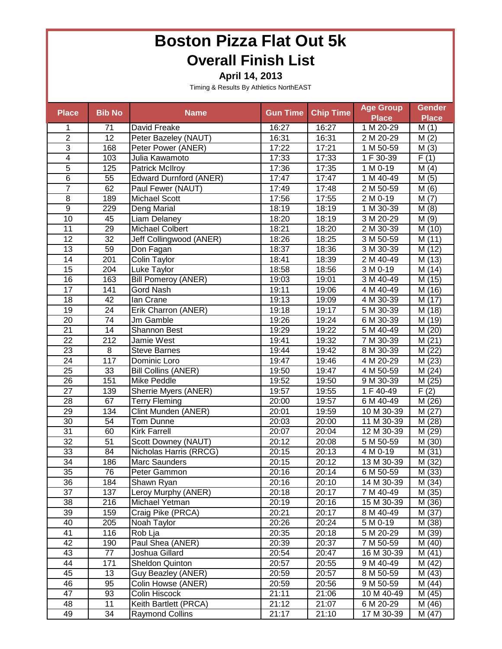**April 14, 2013**

| <b>Place</b>    | <b>Bib No</b>   | <b>Name</b>                   | <b>Gun Time</b> | <b>Chip Time</b> | <b>Age Group</b>         | <b>Gender</b>       |
|-----------------|-----------------|-------------------------------|-----------------|------------------|--------------------------|---------------------|
|                 |                 |                               |                 |                  | <b>Place</b>             | <b>Place</b>        |
| 1               | 71              | David Freake                  | 16:27           | 16:27            | 1 M 20-29                | M(1)                |
| $\overline{2}$  | 12              | Peter Bazeley (NAUT)          | 16:31           | 16:31            | 2 M 20-29                | M(2)                |
| $\overline{3}$  | 168             | Peter Power (ANER)            | 17:22           | 17:21            | 1 M 50-59                | M(3)                |
| $\overline{4}$  | 103             | Julia Kawamoto                | 17:33           | 17:33            | 1 F 30-39                | $\overline{F}(1)$   |
| $\overline{5}$  | 125             | Patrick McIlroy               | 17:36           | 17:35            | 1 M 0-19                 | M(4)                |
| $\overline{6}$  | 55              | <b>Edward Durnford (ANER)</b> | 17:47           | 17:47            | 1 M 40-49                | M(5)                |
| $\overline{7}$  | 62              | Paul Fewer (NAUT)             | 17:49           | 17:48            | 2 M 50-59                | M(6)                |
| $\overline{8}$  | 189             | <b>Michael Scott</b>          | 17:56           | 17:55            | $2 M 0-19$               | M(7)                |
| $\overline{9}$  | 229             | Deng Marial                   | 18:19           | 18:19            | 1 M 30-39                | M(8)                |
| 10              | 45              | Liam Delaney                  | 18:20           | 18:19            | $3 \overline{M} 20 - 29$ | M(9)                |
| $\overline{11}$ | 29              | <b>Michael Colbert</b>        | 18:21           | 18:20            | 2 M 30-39                | M(10)               |
| $\overline{12}$ | $\overline{32}$ | Jeff Collingwood (ANER)       | 18:26           | 18:25            | 3 M 50-59                | M(11)               |
| 13              | 59              | Don Fagan                     | 18:37           | 18:36            | 3 M 30-39                | M (12)              |
| 14              | 201             | Colin Taylor                  | 18:41           | 18:39            | 2 M 40-49                | M (13)              |
| 15              | 204             | Luke Taylor                   | 18:58           | 18:56            | 3 M 0-19                 | M (14)              |
| 16              | 163             | <b>Bill Pomeroy (ANER)</b>    | 19:03           | 19:01            | 3 M 40-49                | M (15)              |
| $\overline{17}$ | 141             | Gord Nash                     | 19:11           | 19:06            | 4 M 40-49                | M (16)              |
| 18              | 42              | lan Crane                     | 19:13           | 19:09            | 4 M 30-39                | M (17)              |
| 19              | 24              | Erik Charron (ANER)           | 19:18           | 19:17            | 5 M 30-39                | M (18)              |
| 20              | $\overline{74}$ | Jm Gamble                     | 19:26           | 19:24            | 6 M 30-39                | $\overline{M}$ (19) |
| 21              | 14              | Shannon Best                  | 19:29           | 19:22            | 5 M 40-49                | M(20)               |
| 22              | 212             | Jamie West                    | 19:41           | 19:32            | 7 M 30-39                | M(21)               |
| 23              | $\,8\,$         | <b>Steve Barnes</b>           | 19:44           | 19:42            | 8 M 30-39                | M(22)               |
| $\overline{24}$ | 117             | Dominic Loro                  | 19:47           | 19:46            | 4 M 20-29                | M(23)               |
| 25              | 33              | <b>Bill Collins (ANER)</b>    | 19:50           | 19:47            | 4 M 50-59                | M(24)               |
| 26              | 151             | <b>Mike Peddle</b>            | 19:52           | 19:50            | 9 M 30-39                | $\overline{M(25)}$  |
| 27              | 139             | Sherrie Myers (ANER)          | 19:57           | 19:55            | 1 F 40-49                | F(2)                |
| 28              | 67              | <b>Terry Fleming</b>          | 20:00           | 19:57            | 6 M 40-49                | M (26)              |
| 29              | 134             | Clint Munden (ANER)           | 20:01           | 19:59            | 10 M 30-39               | M(27)               |
| $\overline{30}$ | 54              | Tom Dunne                     | 20:03           | 20:00            | 11 M 30-39               | M (28)              |
| 31              | 60              | <b>Kirk Farrell</b>           | 20:07           | 20:04            | 12 M 30-39               | M (29)              |
| 32              | 51              | Scott Downey (NAUT)           | 20:12           | 20:08            | 5 M 50-59                | M (30)              |
| 33              | 84              | Nicholas Harris (RRCG)        | 20:15           | 20:13            | 4 M 0-19                 | M(31)               |
| 34              | 186             | Marc Saunders                 | 20:15           | 20:12            | 13 M 30-39               | $\overline{M}$ (32) |
| 35              | 76              | Peter Gammon                  | 20:16           | 20:14            | 6 M 50-59                | M (33)              |
| 36              | 184             | Shawn Ryan                    | 20:16           | 20:10            | 14 M 30-39               | M (34)              |
| $\overline{37}$ | 137             | Leroy Murphy (ANER)           | 20:18           | 20:17            | 7 M 40-49                | M (35)              |
| 38              | 216             | Michael Yetman                | 20:19           | 20:16            | 15 M 30-39               | M (36)              |
| 39              | 159             | Craig Pike (PRCA)             | 20:21           | 20:17            | 8 M 40-49                | $\overline{M}$ (37) |
| 40              | 205             | Noah Taylor                   | 20:26           | 20:24            | 5 M 0-19                 | M (38)              |
| 41              | 116             | Rob Lja                       | 20:35           | 20:18            | 5 M 20-29                | M (39)              |
| 42              | 190             | Paul Shea (ANER)              | 20:39           | 20:37            | 7 M 50-59                | M(40)               |
| 43              | 77              | Joshua Gillard                | 20:54           | 20:47            | 16 M 30-39               | M(41)               |
| 44              | 171             | Sheldon Quinton               | 20:57           | 20:55            | 9 M 40-49                | M(42)               |
| 45              | 13              | Guy Beazley (ANER)            | 20:59           | 20:57            | 8 M 50-59                | M (43)              |
| 46              | 95              | Colin Howse (ANER)            | 20:59           | 20:56            | 9 M 50-59                | M (44)              |
| 47              | 93              | Colin Hiscock                 | 21:11           | 21:06            | 10 M 40-49               | M (45)              |
| 48              | 11              | Keith Bartlett (PRCA)         | 21:12           | 21:07            | 6 M 20-29                | M (46)              |
| 49              | 34              | <b>Raymond Collins</b>        | 21:17           | 21:10            | 17 M 30-39               | M (47)              |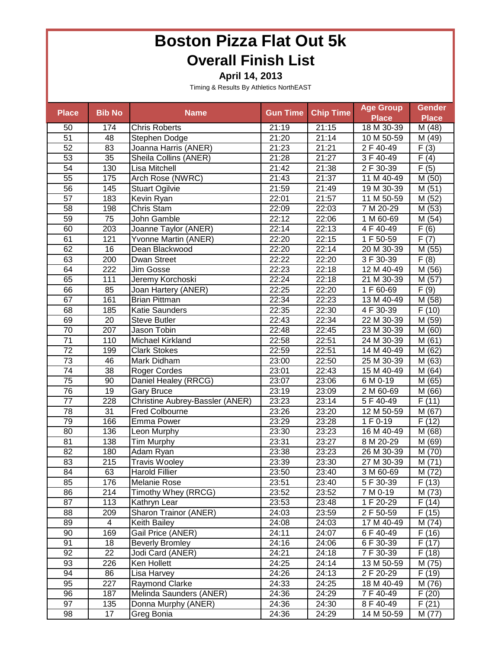**April 14, 2013**

| <b>Place</b>    | <b>Bib No</b>   |                                 | <b>Gun Time</b> |                  | <b>Age Group</b>       | <b>Gender</b>       |
|-----------------|-----------------|---------------------------------|-----------------|------------------|------------------------|---------------------|
|                 |                 | <b>Name</b>                     |                 | <b>Chip Time</b> | <b>Place</b>           | <b>Place</b>        |
| 50              | 174             | <b>Chris Roberts</b>            | 21:19           | 21:15            | 18 M 30-39             | M (48)              |
| 51              | 48              | Stephen Dodge                   | 21:20           | 21:14            | 10 M 50-59             | M (49)              |
| 52              | 83              | Joanna Harris (ANER)            | 21:23           | 21:21            | $\overline{2}$ F 40-49 | F(3)                |
| 53              | 35              | Sheila Collins (ANER)           | 21:28           | 21:27            | 3 F 40-49              | F(4)                |
| 54              | 130             | Lisa Mitchell                   | 21:42           | 21:38            | 2 F 30-39              | $\overline{F(5)}$   |
| $\overline{55}$ | 175             | Arch Rose (NWRC)                | 21:43           | 21:37            | 11 M 40-49             | M (50)              |
| 56              | 145             | <b>Stuart Ogilvie</b>           | 21:59           | 21:49            | 19 M 30-39             | M(51)               |
| 57              | 183             | Kevin Ryan                      | 22:01           | 21:57            | 11 M 50-59             | M (52)              |
| $\overline{58}$ | 198             | Chris Stam                      | 22:09           | 22:03            | 7 M 20-29              | M(53)               |
| $\overline{59}$ | 75              | John Gamble                     | 22:12           | 22:06            | 1 M 60-69              | M (54)              |
| 60              | 203             | Joanne Taylor (ANER)            | 22:14           | 22:13            | 4 F 40-49              | $\overline{F(6)}$   |
| 61              | 121             | Yvonne Martin (ANER)            | 22:20           | 22:15            | 1F 50-59               | $\overline{F(7)}$   |
| 62              | 16              | Dean Blackwood                  | 22:20           | 22:14            | 20 M 30-39             | M(55)               |
| 63              | 200             | Dwan Street                     | 22:22           | 22:20            | 3 F 30-39              | F(8)                |
| 64              | 222             | Jim Gosse                       | 22:23           | 22:18            | 12 M 40-49             | M (56)              |
| 65              | 111             | Jeremy Korchoski                | 22:24           | 22:18            | 21 M 30-39             | M (57)              |
| 66              | 85              | Joan Hartery (ANER)             | 22:25           | 22:20            | 1 F 60-69              | F(9)                |
| 67              | 161             | <b>Brian Pittman</b>            | 22:34           | 22:23            | 13 M 40-49             | M (58)              |
| 68              | 185             | Katie Saunders                  | 22:35           | 22:30            | 4 F 30-39              | F(10)               |
| 69              | 20              | <b>Steve Butler</b>             | 22:43           | 22:34            | 22 M 30-39             | M (59)              |
| 70              | 207             | Jason Tobin                     | 22:48           | 22:45            | 23 M 30-39             | M (60)              |
| $\overline{71}$ | 110             | Michael Kirkland                | 22:58           | 22:51            | 24 M 30-39             | $\overline{M}$ (61) |
| 72              | 199             | <b>Clark Stokes</b>             | 22:59           | 22:51            | 14 M 40-49             | M(62)               |
| 73              | 46              | Mark Didham                     | 23:00           | 22:50            | 25 M 30-39             | M (63)              |
| 74              | 38              | Roger Cordes                    | 23:01           | 22:43            | 15 M 40-49             | M(64)               |
| $\overline{75}$ | 90              | Daniel Healey (RRCG)            | 23:07           | 23:06            | 6 M 0-19               | M (65)              |
| 76              | $\overline{19}$ | <b>Gary Bruce</b>               | 23:19           | 23:09            | 2 M 60-69              | M (66)              |
| 77              | 228             | Christine Aubrey-Bassler (ANER) | 23:23           | 23:14            | 5 F 40-49              | F(11)               |
| 78              | 31              | <b>Fred Colbourne</b>           | 23:26           | 23:20            | 12 M 50-59             | M(67)               |
| 79              | 166             | Emma Power                      | 23:29           | 23:28            | 1 F 0-19               | F(12)               |
| 80              | 136             |                                 | 23:30           | 23:23            | 16 M 40-49             | M (68)              |
| 81              | 138             | Leon Murphy<br>Tim Murphy       | 23:31           | 23:27            | 8 M 20-29              |                     |
|                 | 180             |                                 |                 |                  |                        | M (69)              |
| 82              |                 | Adam Ryan                       | 23:38           | 23:23            | 26 M 30-39             | M (70)              |
| 83              | 215             | <b>Travis Wooley</b>            | 23:39           | 23:30            | 27 M 30-39             | M(71)               |
| 84              | 63              | <b>Harold Fillier</b>           | 23:50           | 23:40            | 3 M 60-69              | M (72)              |
| 85              | 176             | Melanie Rose                    | 23:51           | 23:40            | 5 F 30-39              | F(13)               |
| 86              | 214             | Timothy Whey (RRCG)             | 23:52           | 23:52            | 7 M 0-19               | M (73)              |
| 87              | 113             | Kathryn Lear                    | 23:53           | 23:48            | 1 F 20-29              | $\overline{F}$ (14) |
| 88              | 209             | Sharon Trainor (ANER)           | 24:03           | 23:59            | 2 F 50-59              | F(15)               |
| 89              | 4               | Keith Bailey                    | 24:08           | 24:03            | 17 M 40-49             | M (74)              |
| 90              | 169             | Gail Price (ANER)               | 24:11           | 24:07            | 6 F 40-49              | F(16)               |
| 91              | 18              | <b>Beverly Bromley</b>          | 24:16           | 24:06            | 6 F 30-39              | F(17)               |
| 92              | 22              | Jodi Card (ANER)                | 24:21           | 24:18            | 7 F 30-39              | F(18)               |
| 93              | 226             | Ken Hollett                     | 24:25           | 24:14            | 13 M 50-59             | M (75)              |
| 94              | 86              | Lisa Harvey                     | 24:26           | 24:13            | $\overline{2}$ F 20-29 | F(19)               |
| 95              | 227             | Raymond Clarke                  | 24:33           | 24:25            | 18 M 40-49             | M (76)              |
| 96              | 187             | Melinda Saunders (ANER)         | 24:36           | 24:29            | 7 F 40-49              | F(20)               |
| 97              | 135             | Donna Murphy (ANER)             | 24:36           | 24:30            | 8 F 40-49              | F(21)               |
| 98              | 17              | Greg Bonia                      | 24:36           | 24:29            | 14 M 50-59             | M (77)              |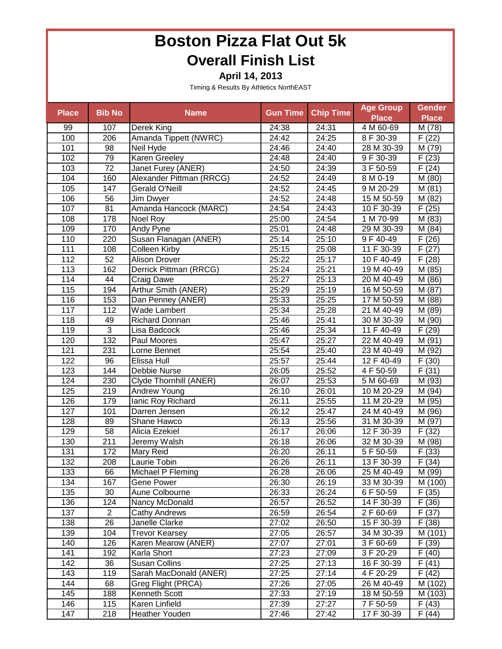**April 14, 2013**

| <b>Place</b> | <b>Bib No</b>   | <b>Name</b>              | <b>Gun Time</b>    | <b>Chip Time</b> | <b>Age Group</b> | <b>Gender</b>       |
|--------------|-----------------|--------------------------|--------------------|------------------|------------------|---------------------|
|              |                 |                          |                    |                  | <b>Place</b>     | <b>Place</b>        |
| 99           | 107             | Derek King               | 24:38              | 24:31            | 4 M 60-69        | M (78)              |
| 100          | 206             | Amanda Tippett (NWRC)    | 24:42              | 24:25            | 8 F 30-39        | F(22)               |
| 101          | 98              | Neil Hyde                | 24:46              | 24:40            | 28 M 30-39       | M (79)              |
| 102          | 79              | <b>Karen Greeley</b>     | 24:48              | 24:40            | 9 F 30-39        | F(23)               |
| 103          | $\overline{72}$ | Janet Furey (ANER)       | 24:50              | 24:39            | 3 F 50-59        | F(24)               |
| 104          | 160             | Alexander Pittman (RRCG) | 24:52              | 24:49            | 8 M 0-19         | M (80)              |
| 105          | 147             | Gerald O'Neill           | 24:52              | 24:45            | 9 M 20-29        | M(81)               |
| 106          | $\overline{56}$ | Jim Dwyer                | 24:52              | 24:48            | 15 M 50-59       | M(82)               |
| 107          | 81              | Amanda Hancock (MARC)    | 24:54              | 24:43            | 10 F 30-39       | $\overline{F(25)}$  |
| 108          | 178             | Noel Roy                 | 25:00              | 24:54            | 1 M 70-99        | M(83)               |
| 109          | 170             | Andy Pyne                | 25:01              | 24:48            | 29 M 30-39       | M(84)               |
| 110          | 220             | Susan Flanagan (ANER)    | 25:14              | 25:10            | 9 F 40-49        | F(26)               |
| 111          | 108             | Colleen Kirby            | 25:15              | 25:08            | 11 F 30-39       | F(27)               |
| 112          | 52              | <b>Alison Drover</b>     | 25:22              | 25:17            | 10 F 40-49       | F(28)               |
| 113          | 162             | Derrick Pittman (RRCG)   | 25:24              | 25:21            | 19 M 40-49       | M (85)              |
| 114          | 44              | Craig Dawe               | 25:27              | 25:13            | 20 M 40-49       | M (86)              |
| 115          | 194             | Arthur Smith (ANER)      | 25:29              | 25:19            | 16 M 50-59       | M (87)              |
| 116          | 153             | Dan Penney (ANER)        | 25:33              | 25:25            | 17 M 50-59       | M (88)              |
| 117          | 112             | Wade Lambert             | 25:34              | 25:28            | 21 M 40-49       | M (89)              |
| 118          | 49              | <b>Richard Donnan</b>    | 25:46              | 25:41            | 30 M 30-39       | M (90)              |
| 119          | $\overline{3}$  | Lisa Badcock             | 25:46              | 25:34            | 11 F 40-49       | F(29)               |
| 120          | 132             | Paul Moores              | 25:47              | 25:27            | 22 M 40-49       | M (91)              |
| 121          | 231             | Lorne Bennet             | 25:54              | 25:40            | 23 M 40-49       | M (92)              |
| 122          | 96              | Elissa Hull              | 25:57              | 25:44            | 12 F 40-49       | $\overline{F}$ (30) |
| 123          | 144             | Debbie Nurse             | 26:05              | 25:52            | 4 F 50-59        | F(31)               |
| 124          | 230             | Clyde Thornhill (ANER)   | 26:07              | 25:53            | 5 M 60-69        | M (93)              |
| 125          | 219             | Andrew Young             | 26:10              | 26:01            | 10 M 20-29       | M (94)              |
| 126          | 179             | lanic Roy Richard        | 26:11              | 25:55            | 11 M 20-29       | M (95)              |
| 127          | 101             | Darren Jensen            | 26:12              | 25:47            | 24 M 40-49       | M (96)              |
| 128          | 89              | Shane Hawco              | 26:13              | 25:56            | 31 M 30-39       | M (97)              |
| 129          | 58              | Alicia Ezekiel           | $\overline{26:}17$ | 26:06            | 12 F 30-39       | F(32)               |
| 130          | 211             | Jeremy Walsh             | 26:18              | 26:06            | 32 M 30-39       | M (98)              |
| 131          | 172             | Mary Reid                | 26:20              | 26:11            | 5 F 50-59        | F(33)               |
| 132          | 208             | Laurie Tobin             | 26:26              | 26:11            | 13 F 30-39       | F(34)               |
| 133          | 66              | Michael P Fleming        | 26:28              | 26:06            | 25 M 40-49       | M (99)              |
| 134          | 167             | <b>Gene Power</b>        | 26:30              | 26:19            | 33 M 30-39       | M (100)             |
| 135          | 30              | Aune Colbourne           | 26:33              | 26:24            | 6 F 50-59        | $\overline{F}$ (35) |
| 136          | 124             | Nancy McDonald           | 26:57              | 26:52            | 14 F 30-39       | F(36)               |
| 137          | $\overline{2}$  | <b>Cathy Andrews</b>     | 26:59              | 26:54            | 2 F 60-69        | F(37)               |
| 138          | 26              | Janelle Clarke           | 27:02              | 26:50            | 15 F 30-39       | $\overline{F(38)}$  |
| 139          | 104             | <b>Trevor Kearsey</b>    | 27:05              | 26:57            | 34 M 30-39       | M (101)             |
| 140          | 126             | Karen Mearow (ANER)      | 27:07              | 27:01            | 3 F 60-69        | F(39)               |
| 141          | 192             | Karla Short              | 27:23              | 27:09            | 3 F 20-29        | $\overline{F}$ (40) |
| 142          | 36              | <b>Susan Collins</b>     | 27:25              | 27:13            | 16 F 30-39       | F(41)               |
| 143          | 119             | Sarah MacDonald (ANER)   | 27:25              | 27:14            | 4 F 20-29        | F(42)               |
| 144          | 68              | Greg Flight (PRCA)       | 27:26              | 27:05            | 26 M 40-49       | M (102)             |
| 145          | 188             | Kenneth Scott            | 27:33              | 27:19            | 18 M 50-59       | M (103)             |
| 146          | 115             | Karen Linfield           | 27:39              | 27:27            | 7 F 50-59        | F(43)               |
| 147          | 218             | Heather Youden           | 27:46              | 27:42            | 17 F 30-39       | F(44)               |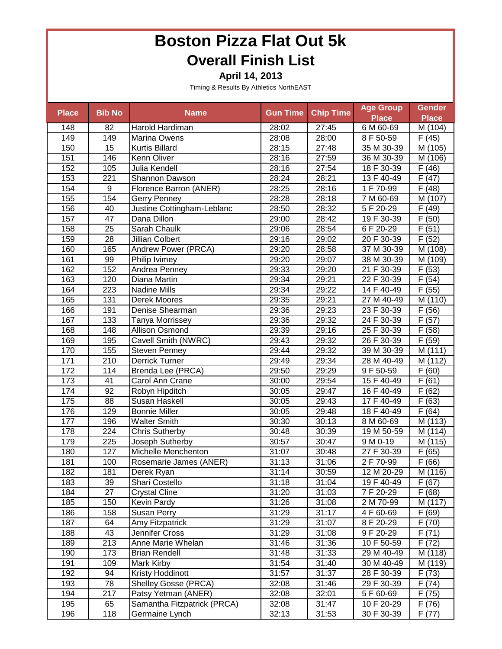**April 14, 2013**

| <b>Place</b> | <b>Bib No</b>   | <b>Name</b>                 | <b>Gun Time</b> | <b>Chip Time</b> | <b>Age Group</b> | <b>Gender</b>       |
|--------------|-----------------|-----------------------------|-----------------|------------------|------------------|---------------------|
|              |                 |                             |                 |                  | <b>Place</b>     | <b>Place</b>        |
| 148          | 82              | Harold Hardiman             | 28:02           | 27:45            | 6 M 60-69        | M (104)             |
| 149          | 149             | Marina Owens                | 28:08           | 28:00            | 8 F 50-59        | F(45)               |
| 150          | 15              | Kurtis Billard              | 28:15           | 27:48            | 35 M 30-39       | M (105)             |
| 151          | 146             | Kenn Oliver                 | 28:16           | 27:59            | 36 M 30-39       | M (106)             |
| 152          | 105             | Julia Kendell               | 28:16           | 27:54            | 18 F 30-39       | F(46)               |
| 153          | 221             | Shannon Dawson              | 28:24           | 28:21            | 13 F 40-49       | $\overline{F(47)}$  |
| 154          | 9               | Florence Barron (ANER)      | 28:25           | 28:16            | 1 F 70-99        | $\overline{F}$ (48) |
| 155          | 154             | <b>Gerry Penney</b>         | 28:28           | 28:18            | 7 M 60-69        | M(107)              |
| 156          | 40              | Justine Cottingham-Leblanc  | 28:50           | 28:32            | 5F 20-29         | $\overline{F(49)}$  |
| 157          | $\overline{47}$ | Dana Dillon                 | 29:00           | 28:42            | 19 F 30-39       | F(50)               |
| 158          | 25              | Sarah Chaulk                | 29:06           | 28:54            | 6 F 20-29        | F(51)               |
| 159          | $\overline{28}$ | <b>Jillian Colbert</b>      | 29:16           | 29:02            | 20 F 30-39       | $\overline{F(52)}$  |
| 160          | 165             | Andrew Power (PRCA)         | 29:20           | 28:58            | 37 M 30-39       | M (108)             |
| 161          | 99              | Philip Ivimey               | 29:20           | 29:07            | 38 M 30-39       | M (109)             |
| 162          | 152             | Andrea Penney               | 29:33           | 29:20            | 21 F 30-39       | F(53)               |
| 163          | 120             | Diana Martin                | 29:34           | 29:21            | 22 F 30-39       | F(54)               |
| 164          | 223             | <b>Nadine Mills</b>         | 29:34           | 29:22            | 14 F 40-49       | F(55)               |
| 165          | 131             | Derek Moores                | 29:35           | 29:21            | 27 M 40-49       | M (110)             |
| 166          | 191             | Denise Shearman             | 29:36           | 29:23            | 23 F 30-39       | F(56)               |
| 167          | 133             | Tanya Morrissey             | 29:36           | 29:32            | 24 F 30-39       | F(57)               |
| 168          | 148             | Allison Osmond              | 29:39           | 29:16            | 25 F 30-39       | $\overline{F}$ (58) |
| 169          | 195             | Cavell Smith (NWRC)         | 29:43           | 29:32            | 26 F 30-39       | $\overline{F}$ (59) |
| 170          | 155             | Steven Penney               | 29:44           | 29:32            | 39 M 30-39       | M (111)             |
| 171          | 210             | <b>Derrick Turner</b>       | 29:49           | 29:34            | 28 M 40-49       | M (112)             |
| 172          | 114             | Brenda Lee (PRCA)           | 29:50           | 29:29            | 9 F 50-59        | $\overline{F}(60)$  |
| 173          | 41              | Carol Ann Crane             | 30:00           | 29:54            | 15 F 40-49       | F(61)               |
| 174          | 92              | Robyn Hipditch              | 30:05           | 29:47            | 16 F 40-49       | F(62)               |
| 175          | 88              | Susan Haskell               | 30:05           | 29:43            | 17 F 40-49       | F(63)               |
| 176          | 129             | <b>Bonnie Miller</b>        | 30:05           | 29:48            | 18 F 40-49       | F(64)               |
| 177          | 196             | <b>Walter Smith</b>         | 30:30           | 30:13            | 8 M 60-69        | M (113)             |
| 178          | 224             | <b>Chris Sutherby</b>       | 30:48           | 30:39            | 19 M 50-59       | M (114)             |
| 179          | 225             | Joseph Sutherby             | 30:57           | 30:47            | 9 M 0-19         | M (115)             |
| 180          | 127             | Michelle Menchenton         | 31:07           | 30:48            | 27 F 30-39       | F(65)               |
| 181          | 100             | Rosemarie James (ANER)      | 31:13           | 31:06            | 2 F 70-99        | F(66)               |
| 182          | 181             | Derek Ryan                  | 31:14           | 30:59            | 12 M 20-29       | M (116)             |
| 183          | 39              | Shari Costello              | 31:18           | 31:04            | 19 F 40-49       | F(67)               |
| 184          | 27              | <b>Crystal Cline</b>        | 31:20           | 31:03            | 7 F 20-29        | $\overline{F}$ (68) |
| 185          | 150             | Kevin Pardy                 | 31:26           | 31:08            | 2 M 70-99        | M (117)             |
| 186          | 158             | Susan Perry                 | 31:29           | 31:17            | 4 F 60-69        | F(69)               |
| 187          | 64              | Amy Fitzpatrick             | 31:29           | 31:07            | 8 F 20-29        | $\bar{F}$ (70)      |
| 188          | 43              | Jennifer Cross              | 31:29           | 31:08            | 9 F 20-29        | $\overline{F(71)}$  |
| 189          | 213             | Anne Marie Whelan           | 31:46           | 31:36            | 10 F 50-59       | F(72)               |
| 190          | 173             | <b>Brian Rendell</b>        | 31:48           | 31:33            | 29 M 40-49       | M (118)             |
| 191          | 109             | Mark Kirby                  | 31:54           | 31:40            | 30 M 40-49       | M (119)             |
| 192          | 94              | Kristy Hoddinott            | 31:57           | 31:37            | 28 F 30-39       | F(73)               |
| 193          | 78              | Shelley Gosse (PRCA)        | 32:08           | 31:46            | 29 F 30-39       | F(74)               |
| 194          | 217             | Patsy Yetman (ANER)         | 32:08           | 32:01            | 5 F 60-69        | F(75)               |
| 195          | 65              | Samantha Fitzpatrick (PRCA) | 32:08           | 31:47            | 10 F 20-29       | F(76)               |
| 196          | 118             | Germaine Lynch              | 32:13           | 31:53            | 30 F 30-39       | F(77)               |